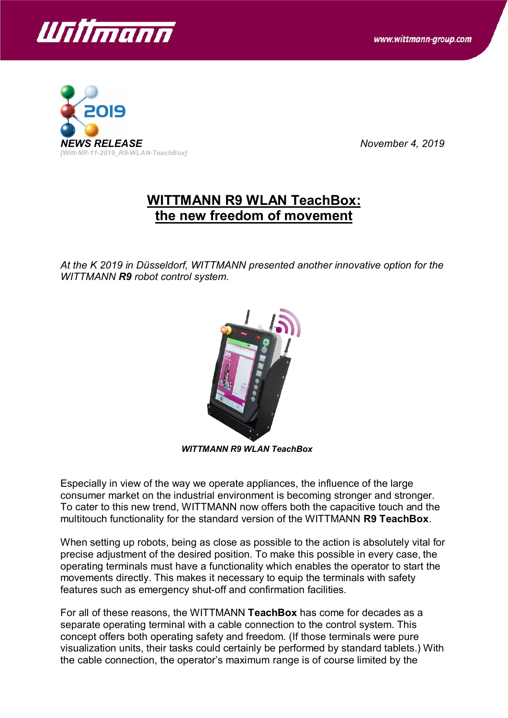



## **WITTMANN R9 WLAN TeachBox: the new freedom of movement**

*At the K 2019 in Düsseldorf, WITTMANN presented another innovative option for the WITTMANN R9 robot control system.*



*WITTMANN R9 WLAN TeachBox*

Especially in view of the way we operate appliances, the influence of the large consumer market on the industrial environment is becoming stronger and stronger. To cater to this new trend, WITTMANN now offers both the capacitive touch and the multitouch functionality for the standard version of the WITTMANN **R9 TeachBox**.

When setting up robots, being as close as possible to the action is absolutely vital for precise adjustment of the desired position. To make this possible in every case, the operating terminals must have a functionality which enables the operator to start the movements directly. This makes it necessary to equip the terminals with safety features such as emergency shut-off and confirmation facilities.

For all of these reasons, the WITTMANN **TeachBox** has come for decades as a separate operating terminal with a cable connection to the control system. This concept offers both operating safety and freedom. (If those terminals were pure visualization units, their tasks could certainly be performed by standard tablets.) With the cable connection, the operator's maximum range is of course limited by the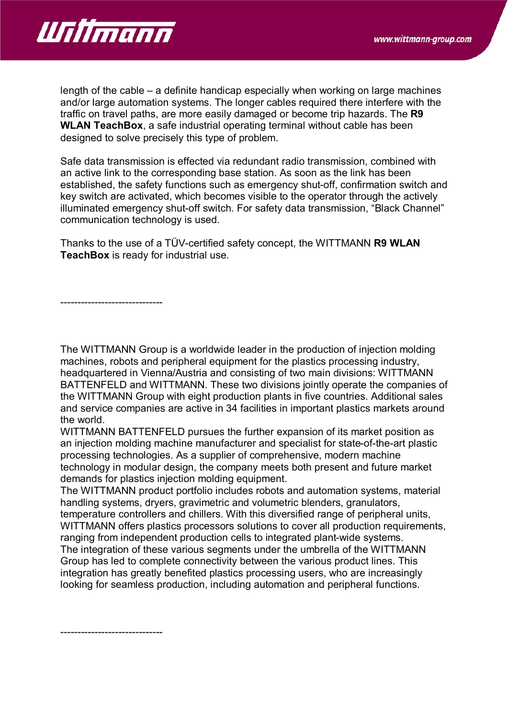

length of the cable – a definite handicap especially when working on large machines and/or large automation systems. The longer cables required there interfere with the traffic on travel paths, are more easily damaged or become trip hazards. The **R9 WLAN TeachBox**, a safe industrial operating terminal without cable has been designed to solve precisely this type of problem.

Safe data transmission is effected via redundant radio transmission, combined with an active link to the corresponding base station. As soon as the link has been established, the safety functions such as emergency shut-off, confirmation switch and key switch are activated, which becomes visible to the operator through the actively illuminated emergency shut-off switch. For safety data transmission, "Black Channel" communication technology is used.

Thanks to the use of a TÜV-certified safety concept, the WITTMANN **R9 WLAN TeachBox** is ready for industrial use.

------------------------------

The WITTMANN Group is a worldwide leader in the production of injection molding machines, robots and peripheral equipment for the plastics processing industry, headquartered in Vienna/Austria and consisting of two main divisions: WITTMANN BATTENFELD and WITTMANN. These two divisions jointly operate the companies of the WITTMANN Group with eight production plants in five countries. Additional sales and service companies are active in 34 facilities in important plastics markets around the world.

WITTMANN BATTENFELD pursues the further expansion of its market position as an injection molding machine manufacturer and specialist for state-of-the-art plastic processing technologies. As a supplier of comprehensive, modern machine technology in modular design, the company meets both present and future market demands for plastics injection molding equipment.

The WITTMANN product portfolio includes robots and automation systems, material handling systems, dryers, gravimetric and volumetric blenders, granulators, temperature controllers and chillers. With this diversified range of peripheral units, WITTMANN offers plastics processors solutions to cover all production requirements, ranging from independent production cells to integrated plant-wide systems. The integration of these various segments under the umbrella of the WITTMANN Group has led to complete connectivity between the various product lines. This integration has greatly benefited plastics processing users, who are increasingly looking for seamless production, including automation and peripheral functions.

------------------------------